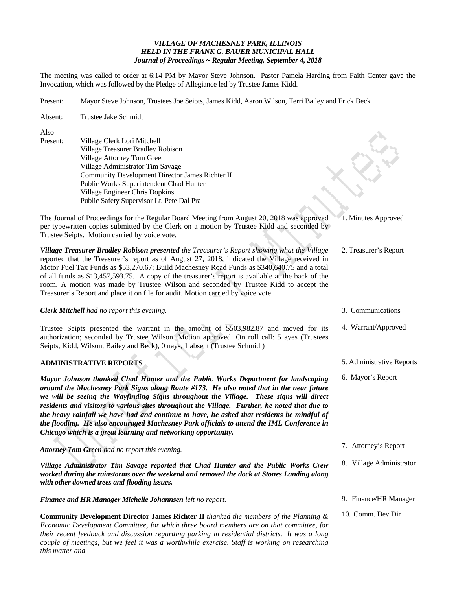# *VILLAGE OF MACHESNEY PARK, ILLINOIS HELD IN THE FRANK G. BAUER MUNICIPAL HALL Journal of Proceedings ~ Regular Meeting, September 4, 2018*

The meeting was called to order at 6:14 PM by Mayor Steve Johnson. Pastor Pamela Harding from Faith Center gave the Invocation, which was followed by the Pledge of Allegiance led by Trustee James Kidd.

Present: Mayor Steve Johnson, Trustees Joe Seipts, James Kidd, Aaron Wilson, Terri Bailey and Erick Beck

| Absent:                                                                                                                                                                                                                                                                                                                                                                                        | Trustee Jake Schmidt                                                                                                                                                                                                                                                                                                                                                                                                                                                                                                                                                                                                                |                           |
|------------------------------------------------------------------------------------------------------------------------------------------------------------------------------------------------------------------------------------------------------------------------------------------------------------------------------------------------------------------------------------------------|-------------------------------------------------------------------------------------------------------------------------------------------------------------------------------------------------------------------------------------------------------------------------------------------------------------------------------------------------------------------------------------------------------------------------------------------------------------------------------------------------------------------------------------------------------------------------------------------------------------------------------------|---------------------------|
| Also<br>Present:                                                                                                                                                                                                                                                                                                                                                                               | Village Clerk Lori Mitchell<br>Village Treasurer Bradley Robison<br>Village Attorney Tom Green<br>Village Administrator Tim Savage<br>Community Development Director James Richter II<br>Public Works Superintendent Chad Hunter<br>Village Engineer Chris Dopkins<br>Public Safety Supervisor Lt. Pete Dal Pra                                                                                                                                                                                                                                                                                                                     |                           |
|                                                                                                                                                                                                                                                                                                                                                                                                | The Journal of Proceedings for the Regular Board Meeting from August 20, 2018 was approved<br>per typewritten copies submitted by the Clerk on a motion by Trustee Kidd and seconded by<br>Trustee Seipts. Motion carried by voice vote.                                                                                                                                                                                                                                                                                                                                                                                            | 1. Minutes Approved       |
|                                                                                                                                                                                                                                                                                                                                                                                                | Village Treasurer Bradley Robison presented the Treasurer's Report showing what the Village<br>reported that the Treasurer's report as of August 27, 2018, indicated the Village received in<br>Motor Fuel Tax Funds as \$53,270.67; Build Machesney Road Funds as \$340,640.75 and a total<br>of all funds as \$13,457,593.75. A copy of the treasurer's report is available at the back of the<br>room. A motion was made by Trustee Wilson and seconded by Trustee Kidd to accept the<br>Treasurer's Report and place it on file for audit. Motion carried by voice vote.                                                        | 2. Treasurer's Report     |
| <b>Clerk Mitchell</b> had no report this evening.                                                                                                                                                                                                                                                                                                                                              |                                                                                                                                                                                                                                                                                                                                                                                                                                                                                                                                                                                                                                     | 3. Communications         |
| Trustee Seipts presented the warrant in the amount of \$503,982.87 and moved for its<br>authorization; seconded by Trustee Wilson. Motion approved. On roll call: 5 ayes (Trustees<br>Seipts, Kidd, Wilson, Bailey and Beck), 0 nays, 1 absent (Trustee Schmidt)                                                                                                                               |                                                                                                                                                                                                                                                                                                                                                                                                                                                                                                                                                                                                                                     | 4. Warrant/Approved       |
| <b>ADMINISTRATIVE REPORTS</b>                                                                                                                                                                                                                                                                                                                                                                  |                                                                                                                                                                                                                                                                                                                                                                                                                                                                                                                                                                                                                                     | 5. Administrative Reports |
|                                                                                                                                                                                                                                                                                                                                                                                                | Mayor Johnson thanked Chad Hunter and the Public Works Department for landscaping<br>around the Machesney Park Signs along Route #173. He also noted that in the near future<br>we will be seeing the Wayfinding Signs throughout the Village. These signs will direct<br>residents and visitors to various sites throughout the Village. Further, he noted that due to<br>the heavy rainfall we have had and continue to have, he asked that residents be mindful of<br>the flooding. He also encouraged Machesney Park officials to attend the IML Conference in<br>Chicago which is a great learning and networking opportunity. | 6. Mayor's Report         |
| Attorney Tom Green had no report this evening.                                                                                                                                                                                                                                                                                                                                                 |                                                                                                                                                                                                                                                                                                                                                                                                                                                                                                                                                                                                                                     | 7. Attorney's Report      |
| Village Administrator Tim Savage reported that Chad Hunter and the Public Works Crew<br>worked during the rainstorms over the weekend and removed the dock at Stones Landing along<br>with other downed trees and flooding issues.                                                                                                                                                             |                                                                                                                                                                                                                                                                                                                                                                                                                                                                                                                                                                                                                                     | 8. Village Administrator  |
| Finance and HR Manager Michelle Johannsen left no report.                                                                                                                                                                                                                                                                                                                                      |                                                                                                                                                                                                                                                                                                                                                                                                                                                                                                                                                                                                                                     | 9. Finance/HR Manager     |
| <b>Community Development Director James Richter II</b> thanked the members of the Planning $\&$<br>Economic Development Committee, for which three board members are on that committee, for<br>their recent feedback and discussion regarding parking in residential districts. It was a long<br>couple of meetings, but we feel it was a worthwhile exercise. Staff is working on researching |                                                                                                                                                                                                                                                                                                                                                                                                                                                                                                                                                                                                                                     | 10. Comm. Dev Dir         |

*this matter and*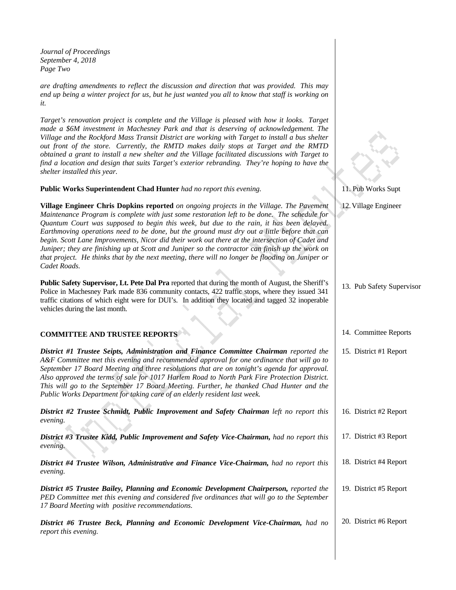*Journal of Proceedings September 4, 2018 Page Two* 

*are drafting amendments to reflect the discussion and direction that was provided. This may end up being a winter project for us, but he just wanted you all to know that staff is working on it.* 

*Target's renovation project is complete and the Village is pleased with how it looks. Target made a \$6M investment in Machesney Park and that is deserving of acknowledgement. The Village and the Rockford Mass Transit District are working with Target to install a bus shelter out front of the store. Currently, the RMTD makes daily stops at Target and the RMTD obtained a grant to install a new shelter and the Village facilitated discussions with Target to find a location and design that suits Target's exterior rebranding. They're hoping to have the shelter installed this year.* 

**Public Works Superintendent Chad Hunter** *had no report this evening.* 

**Village Engineer Chris Dopkins reported** *on ongoing projects in the Village. The Pavement Maintenance Program is complete with just some restoration left to be done. The schedule for Quantum Court was supposed to begin this week, but due to the rain, it has been delayed. Earthmoving operations need to be done, but the ground must dry out a little before that can begin. Scott Lane Improvements, Nicor did their work out there at the intersection of Cadet and Juniper; they are finishing up at Scott and Juniper so the contractor can finish up the work on that project. He thinks that by the next meeting, there will no longer be flooding on Juniper or Cadet Roads.* 

**Public Safety Supervisor, Lt. Pete Dal Pra** reported that during the month of August, the Sheriff's Police in Machesney Park made 836 community contacts, 422 traffic stops, where they issued 341 traffic citations of which eight were for DUI's. In addition they located and tagged 32 inoperable vehicles during the last month.

# **COMMITTEE AND TRUSTEE REPORTS**

*District #1 Trustee Seipts, Administration and Finance Committee Chairman reported the A&F Committee met this evening and recommended approval for one ordinance that will go to September 17 Board Meeting and three resolutions that are on tonight's agenda for approval. Also approved the terms of sale for 1017 Harlem Road to North Park Fire Protection District. This will go to the September 17 Board Meeting. Further, he thanked Chad Hunter and the Public Works Department for taking care of an elderly resident last week.* 

*District #2 Trustee Schmidt, Public Improvement and Safety Chairman left no report this evening.*  16. District #2 Report

*District #3 Trustee Kidd, Public Improvement and Safety Vice-Chairman, had no report this evening.* 

*District #4 Trustee Wilson, Administrative and Finance Vice-Chairman, had no report this evening.* 

*District #5 Trustee Bailey, Planning and Economic Development Chairperson, reported the PED Committee met this evening and considered five ordinances that will go to the September 17 Board Meeting with positive recommendations.* 

*District #6 Trustee Beck, Planning and Economic Development Vice-Chairman, had no report this evening.*  20. District #6 Report

#### 11. Pub Works Supt

#### 12.Village Engineer

# 14. Committee Reports

13. Pub Safety Supervisor

# 15. District #1 Report

- 
- 17. District #3 Report
- 18. District #4 Report
- 19. District #5 Report
-